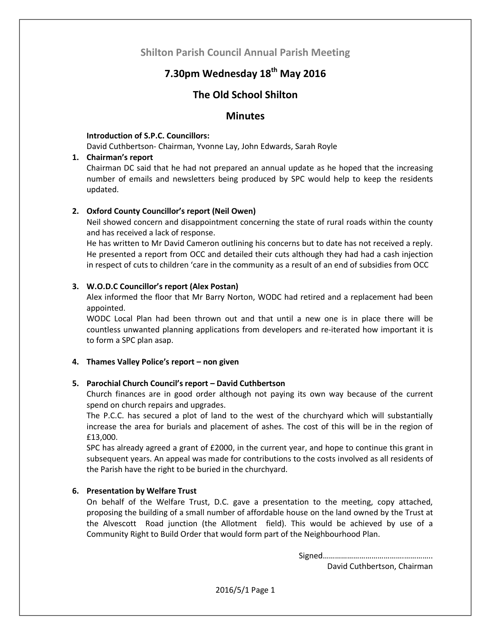## **Shilton Parish Council Annual Parish Meeting**

# **7.30pm Wednesday 18th May 2016**

## **The Old School Shilton**

## **Minutes**

#### **Introduction of S.P.C. Councillors:**

David Cuthbertson- Chairman, Yvonne Lay, John Edwards, Sarah Royle

#### **1. Chairman's report**

Chairman DC said that he had not prepared an annual update as he hoped that the increasing number of emails and newsletters being produced by SPC would help to keep the residents updated.

## **2. Oxford County Councillor's report (Neil Owen)**

Neil showed concern and disappointment concerning the state of rural roads within the county and has received a lack of response.

He has written to Mr David Cameron outlining his concerns but to date has not received a reply. He presented a report from OCC and detailed their cuts although they had had a cash injection in respect of cuts to children 'care in the community as a result of an end of subsidies from OCC

## **3. W.O.D.C Councillor's report (Alex Postan)**

Alex informed the floor that Mr Barry Norton, WODC had retired and a replacement had been appointed.

WODC Local Plan had been thrown out and that until a new one is in place there will be countless unwanted planning applications from developers and re-iterated how important it is to form a SPC plan asap.

## **4. Thames Valley Police's report – non given**

## **5. Parochial Church Council's report – David Cuthbertson**

Church finances are in good order although not paying its own way because of the current spend on church repairs and upgrades.

The P.C.C. has secured a plot of land to the west of the churchyard which will substantially increase the area for burials and placement of ashes. The cost of this will be in the region of £13,000.

SPC has already agreed a grant of £2000, in the current year, and hope to continue this grant in subsequent years. An appeal was made for contributions to the costs involved as all residents of the Parish have the right to be buried in the churchyard.

#### **6. Presentation by Welfare Trust**

On behalf of the Welfare Trust, D.C. gave a presentation to the meeting, copy attached, proposing the building of a small number of affordable house on the land owned by the Trust at the Alvescott Road junction (the Allotment field). This would be achieved by use of a Community Right to Build Order that would form part of the Neighbourhood Plan.

> Signed………………………………….………….. David Cuthbertson, Chairman

2016/5/1 Page 1